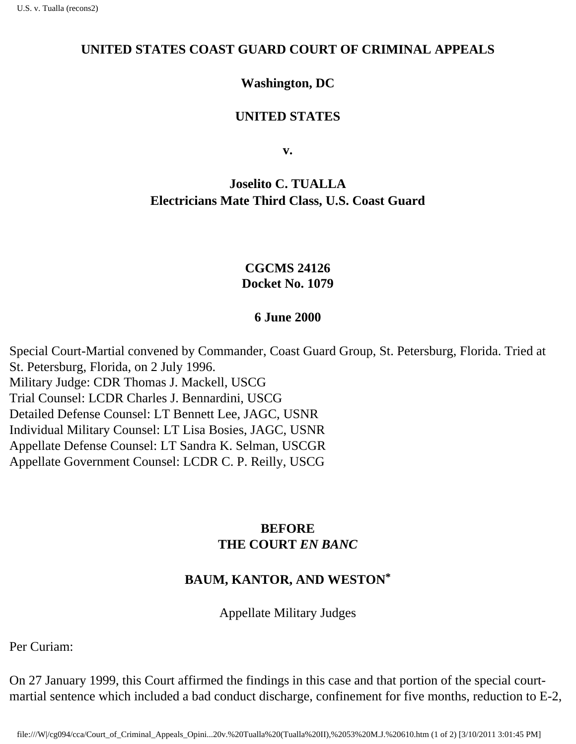#### **UNITED STATES COAST GUARD COURT OF CRIMINAL APPEALS**

## **Washington, DC**

### **UNITED STATES**

**v.**

# **Joselito C. TUALLA Electrician s Mate Third Class, U.S. Coast Guard**

## **CGCMS 24126 Docket No. 1079**

#### **6 June 2000**

Special Court-Martial convened by Commander, Coast Guard Group, St. Petersburg, Florida. Tried at St. Petersburg, Florida, on 2 July 1996. Military Judge: CDR Thomas J. Mackell, USCG Trial Counsel: LCDR Charles J. Bennardini, USCG Detailed Defense Counsel: LT Bennett Lee, JAGC, USNR Individual Military Counsel: LT Lisa Bosies, JAGC, USNR Appellate Defense Counsel: LT Sandra K. Selman, USCGR Appellate Government Counsel: LCDR C. P. Reilly, USCG

## **BEFORE THE COURT** *EN BANC*

## **BAUM, KANTOR, AND WESTON\***

Appellate Military Judges

Per Curiam:

On 27 January 1999, this Court affirmed the findings in this case and that portion of the special courtmartial sentence which included a bad conduct discharge, confinement for five months, reduction to E-2,